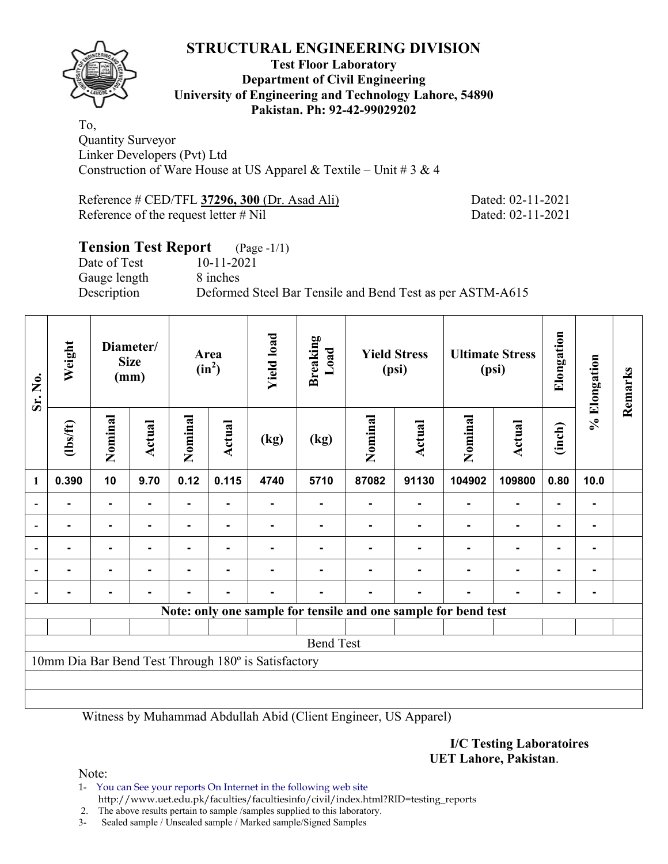

### **Test Floor Laboratory Department of Civil Engineering University of Engineering and Technology Lahore, 54890 Pakistan. Ph: 92-42-99029202**

To, Quantity Surveyor Linker Developers (Pvt) Ltd Construction of Ware House at US Apparel & Textile – Unit #  $3 \& 4$ 

Reference # CED/TFL **37296, 300** (Dr. Asad Ali) Dated: 02-11-2021 Reference of the request letter # Nil Dated: 02-11-2021

# **Tension Test Report** (Page -1/1) Date of Test 10-11-2021 Gauge length 8 inches Description Deformed Steel Bar Tensile and Bend Test as per ASTM-A615

| Sr. No.                  | Weight                                              |                | Diameter/<br><b>Size</b><br>(mm) |         | Area<br>$(in^2)$ | <b>Yield load</b> | Breaking<br>Load                                               | <b>Yield Stress</b><br>(psi) |        | <b>Ultimate Stress</b><br>(psi) |                | Elongation | % Elongation | Remarks |
|--------------------------|-----------------------------------------------------|----------------|----------------------------------|---------|------------------|-------------------|----------------------------------------------------------------|------------------------------|--------|---------------------------------|----------------|------------|--------------|---------|
|                          | $\frac{2}{10}$                                      | Nominal        | Actual                           | Nominal | <b>Actual</b>    | (kg)              | (kg)                                                           | Nominal                      | Actual | Nominal                         | Actual         | (inch)     |              |         |
| 1                        | 0.390                                               | 10             | 9.70                             | 0.12    | 0.115            | 4740              | 5710                                                           | 87082                        | 91130  | 104902                          | 109800         | 0.80       | 10.0         |         |
| $\overline{\phantom{0}}$ |                                                     | $\blacksquare$ |                                  |         |                  |                   |                                                                |                              |        |                                 |                | -          |              |         |
| $\overline{\phantom{a}}$ |                                                     | ۰              |                                  |         |                  |                   |                                                                |                              |        |                                 | ۰              | ۰          |              |         |
| $\overline{\phantom{a}}$ |                                                     | ۰              |                                  |         |                  |                   |                                                                |                              |        |                                 | $\blacksquare$ | ۰          | -            |         |
|                          | $\blacksquare$                                      | Ξ.             |                                  |         | ۰                |                   |                                                                |                              |        |                                 | $\blacksquare$ | ۰          | ۰            |         |
|                          |                                                     |                |                                  |         |                  |                   |                                                                |                              |        |                                 |                | ۰          |              |         |
|                          |                                                     |                |                                  |         |                  |                   | Note: only one sample for tensile and one sample for bend test |                              |        |                                 |                |            |              |         |
|                          |                                                     |                |                                  |         |                  |                   |                                                                |                              |        |                                 |                |            |              |         |
|                          | <b>Bend Test</b>                                    |                |                                  |         |                  |                   |                                                                |                              |        |                                 |                |            |              |         |
|                          | 10mm Dia Bar Bend Test Through 180° is Satisfactory |                |                                  |         |                  |                   |                                                                |                              |        |                                 |                |            |              |         |
|                          |                                                     |                |                                  |         |                  |                   |                                                                |                              |        |                                 |                |            |              |         |
|                          |                                                     |                |                                  |         |                  |                   |                                                                |                              |        |                                 |                |            |              |         |

Witness by Muhammad Abdullah Abid (Client Engineer, US Apparel)

**I/C Testing Laboratoires UET Lahore, Pakistan**.

Note:

1- You can See your reports On Internet in the following web site http://www.uet.edu.pk/faculties/facultiesinfo/civil/index.html?RID=testing\_reports

2. The above results pertain to sample /samples supplied to this laboratory.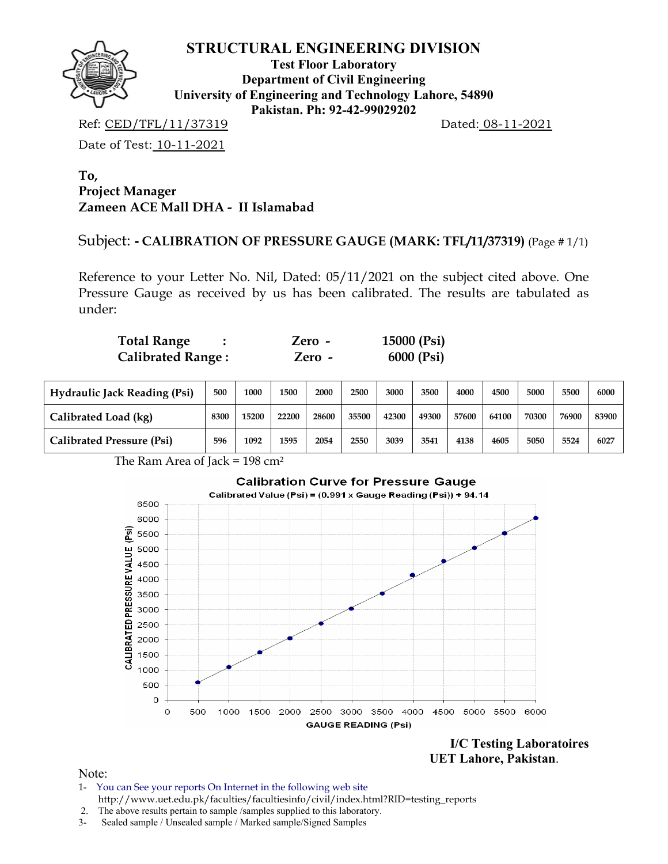

**Test Floor Laboratory Department of Civil Engineering University of Engineering and Technology Lahore, 54890 Pakistan. Ph: 92-42-99029202** 

Ref: CED/TFL/11/37319 Dated: 08-11-2021

Date of Test: 10-11-2021

**To, Project Manager Zameen ACE Mall DHA - II Islamabad** 

Subject: **- CALIBRATION OF PRESSURE GAUGE (MARK: TFL/11/37319)** (Page # 1/1)

Reference to your Letter No. Nil, Dated: 05/11/2021 on the subject cited above. One Pressure Gauge as received by us has been calibrated. The results are tabulated as under:

| <b>Total Range</b>       | Zero -   | 15000 (Psi) |
|--------------------------|----------|-------------|
| <b>Calibrated Range:</b> | $Zero -$ | 6000 (Psi)  |

| <b>Hydraulic Jack Reading (Psi)</b> | 500  | 1000  | 1500  | 2000  | 2500  | 3000  | 3500  | 4000  | 4500  | 5000  | 5500  | 6000  |
|-------------------------------------|------|-------|-------|-------|-------|-------|-------|-------|-------|-------|-------|-------|
| Calibrated Load (kg)                | 8300 | 15200 | 22200 | 28600 | 35500 | 42300 | 49300 | 57600 | 64100 | 70300 | 76900 | 83900 |
| <b>Calibrated Pressure (Psi)</b>    | 596  | 1092  | 1595  | 2054  | 2550  | 3039  | 3541  | 4138  | 4605  | 5050  | 5524  | 6027  |

The Ram Area of Jack = 198 cm2



**I/C Testing Laboratoires UET Lahore, Pakistan**.

- 1- You can See your reports On Internet in the following web site http://www.uet.edu.pk/faculties/facultiesinfo/civil/index.html?RID=testing\_reports
- 2. The above results pertain to sample /samples supplied to this laboratory.
- 3- Sealed sample / Unsealed sample / Marked sample/Signed Samples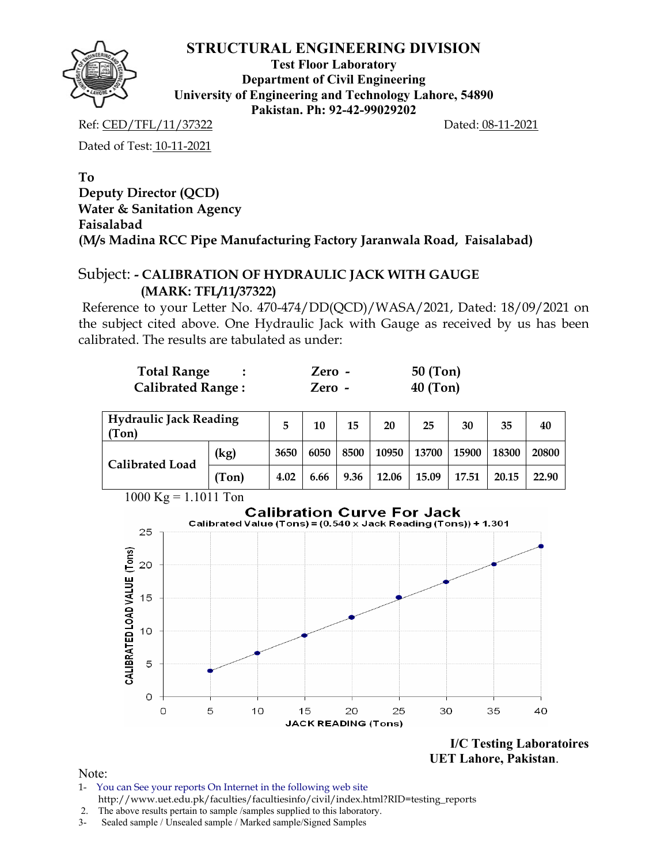**Test Floor Laboratory Department of Civil Engineering University of Engineering and Technology Lahore, 54890 Pakistan. Ph: 92-42-99029202** 

Ref: CED/TFL/11/37322 Dated: 08-11-2021

Dated of Test: 10-11-2021

## **To Deputy Director (QCD) Water & Sanitation Agency Faisalabad (M/s Madina RCC Pipe Manufacturing Factory Jaranwala Road, Faisalabad)**

# Subject: **- CALIBRATION OF HYDRAULIC JACK WITH GAUGE (MARK: TFL/11/37322)**

Reference to your Letter No. 470-474/DD(QCD)/WASA/2021, Dated: 18/09/2021 on the subject cited above. One Hydraulic Jack with Gauge as received by us has been calibrated. The results are tabulated as under:

| <b>Total Range</b>       | Zero - | $50$ (Ton) |
|--------------------------|--------|------------|
| <b>Calibrated Range:</b> | Zero - | $40$ (Ton) |

| Hydraulic Jack Reading<br>(Ton) |       | 5    | 10   | 15     | 20    | 25            | 30    | 35    | 40    |
|---------------------------------|-------|------|------|--------|-------|---------------|-------|-------|-------|
| Calibrated Load                 | (kg)  | 3650 | 6050 | 8500 l |       | 10950   13700 | 15900 | 18300 | 20800 |
|                                 | (Ton) | 4.02 | 6.66 | 9.36   | 12.06 | 15.09         | 17.51 | 20.15 | 22.90 |



**I/C Testing Laboratoires UET Lahore, Pakistan**.

- 1- You can See your reports On Internet in the following web site http://www.uet.edu.pk/faculties/facultiesinfo/civil/index.html?RID=testing\_reports
- 2. The above results pertain to sample /samples supplied to this laboratory.
- 3- Sealed sample / Unsealed sample / Marked sample/Signed Samples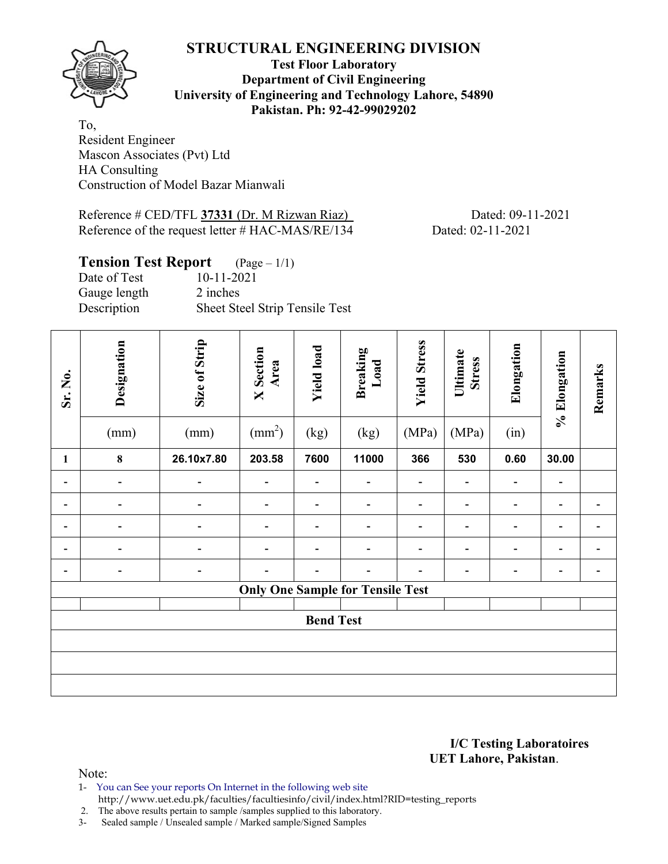

**Test Floor Laboratory Department of Civil Engineering University of Engineering and Technology Lahore, 54890 Pakistan. Ph: 92-42-99029202** 

To, Resident Engineer Mascon Associates (Pvt) Ltd HA Consulting Construction of Model Bazar Mianwali

Reference # CED/TFL 37331 (Dr. M Rizwan Riaz) Dated: 09-11-2021 Reference of the request letter # HAC-MAS/RE/134 Dated: 02-11-2021

| <b>Tension Test Report</b> $(Page-1/1)$ |                                |
|-----------------------------------------|--------------------------------|
| Date of Test                            | 10-11-2021                     |
| Gauge length                            | 2 inches                       |
| Description                             | Sheet Steel Strip Tensile Test |

| Sr. No.                      | Designation<br>(mm)          | Size of Strip<br>(mm)    | <b>X</b> Section<br>Area<br>$\text{(mm}^2)$ | <b>Yield load</b><br>(kg) | <b>Breaking</b><br>Load<br>(kg)         | <b>Yield Stress</b><br>(MPa) | Ultimate<br><b>Stress</b><br>(MPa) | Elongation<br>(in) | % Elongation | Remarks |
|------------------------------|------------------------------|--------------------------|---------------------------------------------|---------------------------|-----------------------------------------|------------------------------|------------------------------------|--------------------|--------------|---------|
| $\mathbf{1}$                 | $\bf{8}$                     | 26.10x7.80               | 203.58                                      | 7600                      | 11000                                   | 366                          | 530                                | 0.60               | 30.00        |         |
| $\qquad \qquad \blacksquare$ | $\qquad \qquad \blacksquare$ |                          |                                             |                           |                                         |                              |                                    |                    | -            |         |
| $\qquad \qquad \blacksquare$ |                              |                          |                                             |                           | -                                       |                              | -                                  |                    | -            |         |
| -                            | $\overline{\phantom{a}}$     |                          |                                             | -                         |                                         |                              | $\overline{a}$                     | -                  | -            |         |
| $\qquad \qquad \blacksquare$ |                              |                          |                                             | $\overline{\phantom{0}}$  | -                                       |                              | -                                  | $\blacksquare$     | -            |         |
| -                            | $\overline{\phantom{a}}$     | $\overline{\phantom{a}}$ |                                             |                           | -                                       |                              |                                    | -                  | -            |         |
|                              |                              |                          |                                             |                           | <b>Only One Sample for Tensile Test</b> |                              |                                    |                    |              |         |
|                              | <b>Bend Test</b>             |                          |                                             |                           |                                         |                              |                                    |                    |              |         |
|                              |                              |                          |                                             |                           |                                         |                              |                                    |                    |              |         |
|                              |                              |                          |                                             |                           |                                         |                              |                                    |                    |              |         |
|                              |                              |                          |                                             |                           |                                         |                              |                                    |                    |              |         |

**I/C Testing Laboratoires UET Lahore, Pakistan**.

Note:

1- You can See your reports On Internet in the following web site http://www.uet.edu.pk/faculties/facultiesinfo/civil/index.html?RID=testing\_reports

2. The above results pertain to sample /samples supplied to this laboratory.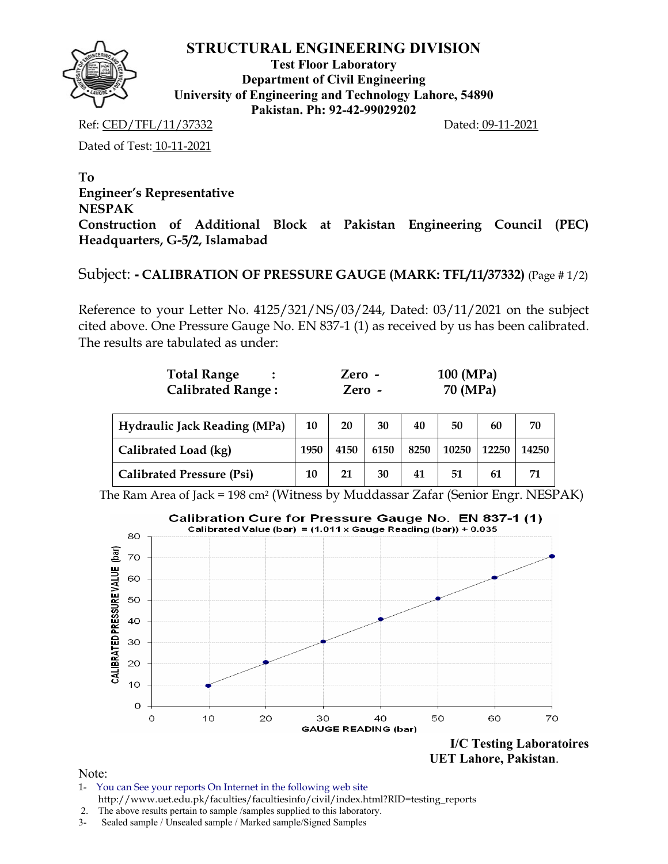

**Test Floor Laboratory Department of Civil Engineering University of Engineering and Technology Lahore, 54890 Pakistan. Ph: 92-42-99029202** 

Ref: CED/TFL/11/37332 Dated: 09-11-2021

Dated of Test: 10-11-2021

**To Engineer's Representative NESPAK Construction of Additional Block at Pakistan Engineering Council (PEC) Headquarters, G-5/2, Islamabad**

## Subject: **- CALIBRATION OF PRESSURE GAUGE (MARK: TFL/11/37332)** (Page # 1/2)

Reference to your Letter No. 4125/321/NS/03/244, Dated: 03/11/2021 on the subject cited above. One Pressure Gauge No. EN 837-1 (1) as received by us has been calibrated. The results are tabulated as under:

| <b>Total Range</b>       | $Zero -$ | $100 \ (MPa)$ |
|--------------------------|----------|---------------|
| <b>Calibrated Range:</b> | Zero -   | 70 (MPa)      |

| Hydraulic Jack Reading (MPa)     | 10   | 20   | 30   | 40   | 50    | 60    | 70    |
|----------------------------------|------|------|------|------|-------|-------|-------|
| Calibrated Load (kg)             | 1950 | 4150 | 6150 | 8250 | 10250 | 12250 | 14250 |
| <b>Calibrated Pressure (Psi)</b> | 10   | 21   | 30   | 41   | 51    | 61    | 71    |

The Ram Area of Jack = 198 cm2 (Witness by Muddassar Zafar (Senior Engr. NESPAK)



- 1- You can See your reports On Internet in the following web site http://www.uet.edu.pk/faculties/facultiesinfo/civil/index.html?RID=testing\_reports
- 2. The above results pertain to sample /samples supplied to this laboratory.
- 3- Sealed sample / Unsealed sample / Marked sample/Signed Samples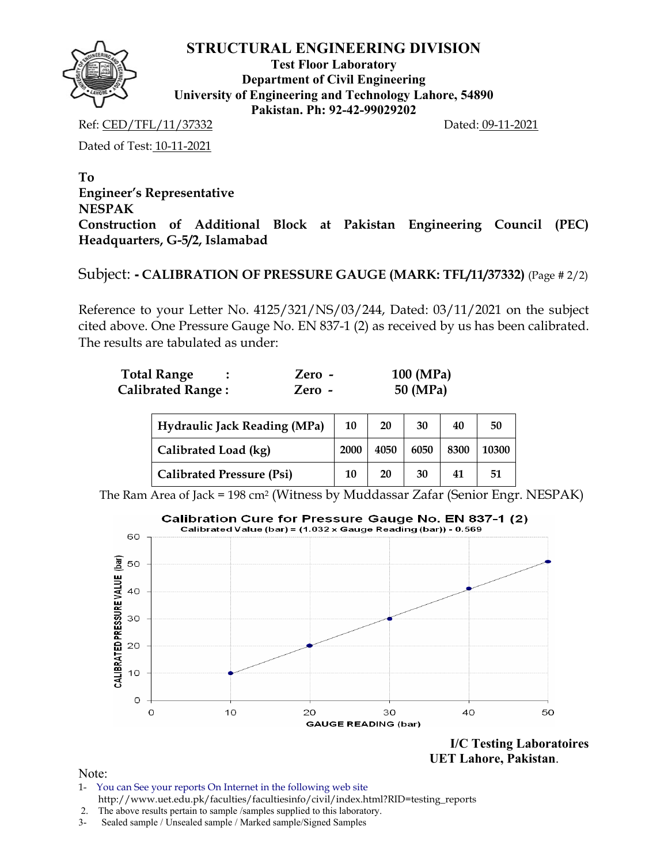

**Test Floor Laboratory Department of Civil Engineering University of Engineering and Technology Lahore, 54890 Pakistan. Ph: 92-42-99029202** 

Ref: CED/TFL/11/37332 Dated: 09-11-2021

Dated of Test: 10-11-2021

**To Engineer's Representative NESPAK Construction of Additional Block at Pakistan Engineering Council (PEC) Headquarters, G-5/2, Islamabad**

## Subject: **- CALIBRATION OF PRESSURE GAUGE (MARK: TFL/11/37332)** (Page # 2/2)

Reference to your Letter No. 4125/321/NS/03/244, Dated: 03/11/2021 on the subject cited above. One Pressure Gauge No. EN 837-1 (2) as received by us has been calibrated. The results are tabulated as under:

| <b>Total Range</b>       | $Zero -$ | 100 (MPa) |
|--------------------------|----------|-----------|
| <b>Calibrated Range:</b> | Zero -   | 50 (MPa)  |

| Hydraulic Jack Reading (MPa)     | 10   | 20   | 30   | 40   | 50    |
|----------------------------------|------|------|------|------|-------|
| Calibrated Load (kg)             | 2000 | 4050 | 6050 | 8300 | 10300 |
| <b>Calibrated Pressure (Psi)</b> | 10   | 20   | 30   | 41   | 51    |

The Ram Area of Jack = 198 cm2 (Witness by Muddassar Zafar (Senior Engr. NESPAK)



 **UET Lahore, Pakistan**.

- 1- You can See your reports On Internet in the following web site http://www.uet.edu.pk/faculties/facultiesinfo/civil/index.html?RID=testing\_reports
- 2. The above results pertain to sample /samples supplied to this laboratory.
- 3- Sealed sample / Unsealed sample / Marked sample/Signed Samples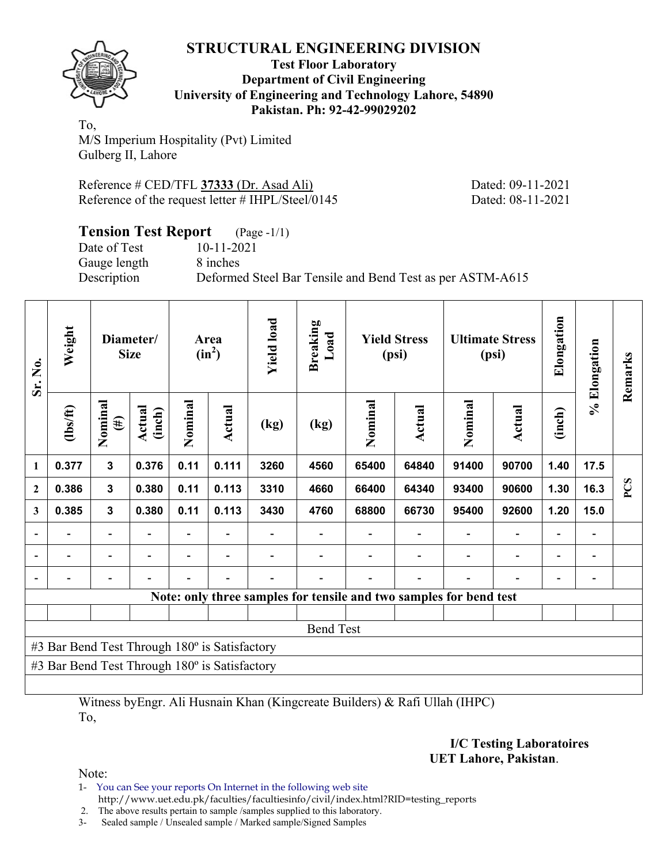

#### **Test Floor Laboratory Department of Civil Engineering University of Engineering and Technology Lahore, 54890 Pakistan. Ph: 92-42-99029202**

To, M/S Imperium Hospitality (Pvt) Limited Gulberg II, Lahore

Reference # CED/TFL **37333** (Dr. Asad Ali) Dated: 09-11-2021 Reference of the request letter # IHPL/Steel/0145 Dated: 08-11-2021

| <b>Tension Test Report</b> (Page -1/1) |                                                           |
|----------------------------------------|-----------------------------------------------------------|
| Date of Test                           | $10-11-2021$                                              |
| Gauge length                           | 8 inches                                                  |
| Description                            | Deformed Steel Bar Tensile and Bend Test as per ASTM-A615 |

| Sr. No.      | Weight                                        |                          | Diameter/<br><b>Size</b> |         | Area<br>$(in^2)$ | <b>Yield load</b> | <b>Breaking</b><br>Load |         | <b>Yield Stress</b><br>(psi)                                       |                          | <b>Ultimate Stress</b><br>(psi) | Elongation               | % Elongation | Remarks |
|--------------|-----------------------------------------------|--------------------------|--------------------------|---------|------------------|-------------------|-------------------------|---------|--------------------------------------------------------------------|--------------------------|---------------------------------|--------------------------|--------------|---------|
|              | (1bs/ft)                                      | Nominal<br>$(\#)$        | Actual<br>(inch)         | Nominal | <b>Actual</b>    | (kg)              | (kg)                    | Nominal | Actual                                                             | Nominal                  | Actual                          | (inch)                   |              |         |
| 1            | 0.377                                         | $\mathbf{3}$             | 0.376                    | 0.11    | 0.111            | 3260              | 4560                    | 65400   | 64840                                                              | 91400                    | 90700                           | 1.40                     | 17.5         |         |
| $\mathbf{2}$ | 0.386                                         | $\mathbf{3}$             | 0.380                    | 0.11    | 0.113            | 3310              | 4660                    | 66400   | 64340                                                              | 93400                    | 90600                           | 1.30                     | 16.3         | PCS     |
| 3            | 0.385                                         | $\mathbf{3}$             | 0.380                    | 0.11    | 0.113            | 3430              | 4760                    | 68800   | 66730                                                              | 95400                    | 92600                           | 1.20                     | 15.0         |         |
|              | $\blacksquare$                                | $\overline{\phantom{a}}$ |                          | ٠       | $\blacksquare$   |                   |                         |         |                                                                    | $\blacksquare$           | $\blacksquare$                  | $\overline{\phantom{0}}$ |              |         |
|              |                                               | $\overline{\phantom{0}}$ |                          |         | $\blacksquare$   |                   |                         |         |                                                                    | $\overline{\phantom{0}}$ | $\overline{\phantom{0}}$        | $\overline{\phantom{0}}$ |              |         |
|              |                                               |                          |                          |         |                  |                   |                         |         |                                                                    |                          |                                 |                          |              |         |
|              |                                               |                          |                          |         |                  |                   |                         |         | Note: only three samples for tensile and two samples for bend test |                          |                                 |                          |              |         |
|              |                                               |                          |                          |         |                  |                   |                         |         |                                                                    |                          |                                 |                          |              |         |
|              | <b>Bend Test</b>                              |                          |                          |         |                  |                   |                         |         |                                                                    |                          |                                 |                          |              |         |
|              | #3 Bar Bend Test Through 180° is Satisfactory |                          |                          |         |                  |                   |                         |         |                                                                    |                          |                                 |                          |              |         |
|              | #3 Bar Bend Test Through 180° is Satisfactory |                          |                          |         |                  |                   |                         |         |                                                                    |                          |                                 |                          |              |         |
|              |                                               |                          |                          |         |                  |                   |                         |         |                                                                    |                          |                                 |                          |              |         |

Witness byEngr. Ali Husnain Khan (Kingcreate Builders) & Rafi Ullah (IHPC) To,

> **I/C Testing Laboratoires UET Lahore, Pakistan**.

Note:

1- You can See your reports On Internet in the following web site http://www.uet.edu.pk/faculties/facultiesinfo/civil/index.html?RID=testing\_reports

2. The above results pertain to sample /samples supplied to this laboratory.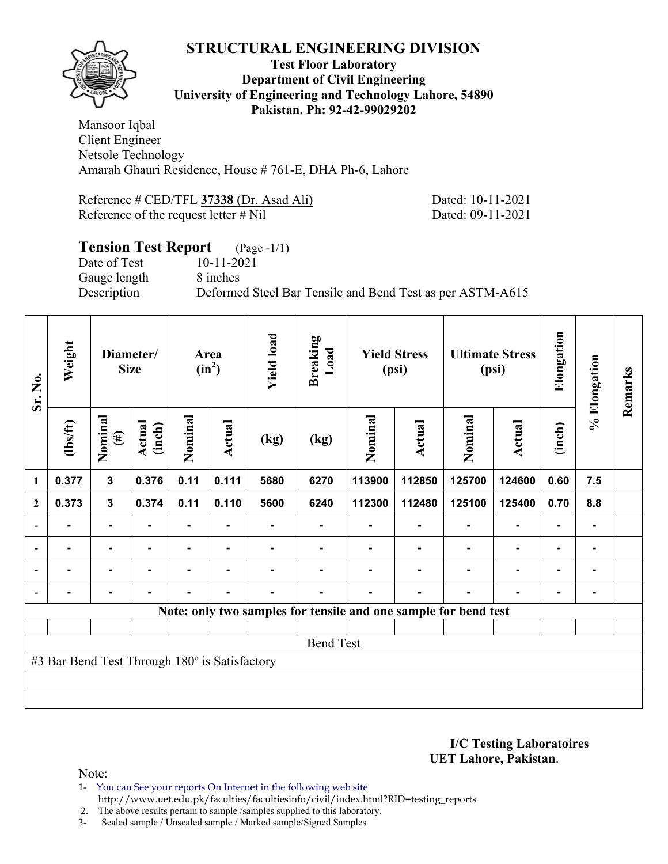

#### **Test Floor Laboratory Department of Civil Engineering University of Engineering and Technology Lahore, 54890 Pakistan. Ph: 92-42-99029202**

Mansoor Iqbal Client Engineer Netsole Technology Amarah Ghauri Residence, House # 761-E, DHA Ph-6, Lahore

| Reference # CED/TFL 37338 (Dr. Asad Ali) | Dated: 10-11-2021 |
|------------------------------------------|-------------------|
| Reference of the request letter $\#$ Nil | Dated: 09-11-2021 |

# **Tension Test Report** (Page -1/1)

Gauge length 8 inches

Date of Test 10-11-2021

Description Deformed Steel Bar Tensile and Bend Test as per ASTM-A615

| Sr. No.      | Weight                                        |                   | Diameter/<br><b>Size</b> |         | Area<br>$(in^2)$ | <b>Yield load</b> | <b>Breaking</b><br>Load |                                                                 | <b>Yield Stress</b><br>(psi) |         | <b>Ultimate Stress</b><br>(psi) | Elongation     | % Elongation | Remarks |
|--------------|-----------------------------------------------|-------------------|--------------------------|---------|------------------|-------------------|-------------------------|-----------------------------------------------------------------|------------------------------|---------|---------------------------------|----------------|--------------|---------|
|              | $\frac{2}{10}$                                | Nominal<br>$(\#)$ | Actual<br>(inch)         | Nominal | Actual           | (kg)              | (kg)                    | Nominal                                                         | Actual                       | Nominal | Actual                          | (inch)         |              |         |
| 1            | 0.377                                         | $\mathbf{3}$      | 0.376                    | 0.11    | 0.111            | 5680              | 6270                    | 113900                                                          | 112850                       | 125700  | 124600                          | 0.60           | 7.5          |         |
| $\mathbf{2}$ | 0.373                                         | $\mathbf{3}$      | 0.374                    | 0.11    | 0.110            | 5600              | 6240                    | 112300                                                          | 112480                       | 125100  | 125400                          | 0.70           | 8.8          |         |
|              |                                               | $\blacksquare$    |                          | ۰       |                  |                   |                         |                                                                 |                              |         | $\blacksquare$                  | ٠              |              |         |
|              |                                               |                   |                          |         |                  |                   |                         |                                                                 |                              |         |                                 | $\blacksquare$ |              |         |
|              |                                               | $\blacksquare$    |                          | ۰       | $\blacksquare$   |                   |                         |                                                                 |                              |         | $\overline{\phantom{a}}$        | $\blacksquare$ |              |         |
|              |                                               | $\blacksquare$    |                          |         | -                |                   |                         |                                                                 |                              |         | $\blacksquare$                  | ۰              |              |         |
|              |                                               |                   |                          |         |                  |                   |                         | Note: only two samples for tensile and one sample for bend test |                              |         |                                 |                |              |         |
|              |                                               |                   |                          |         |                  |                   |                         |                                                                 |                              |         |                                 |                |              |         |
|              | <b>Bend Test</b>                              |                   |                          |         |                  |                   |                         |                                                                 |                              |         |                                 |                |              |         |
|              | #3 Bar Bend Test Through 180° is Satisfactory |                   |                          |         |                  |                   |                         |                                                                 |                              |         |                                 |                |              |         |
|              |                                               |                   |                          |         |                  |                   |                         |                                                                 |                              |         |                                 |                |              |         |
|              |                                               |                   |                          |         |                  |                   |                         |                                                                 |                              |         |                                 |                |              |         |

**I/C Testing Laboratoires UET Lahore, Pakistan**.

Note:

1- You can See your reports On Internet in the following web site http://www.uet.edu.pk/faculties/facultiesinfo/civil/index.html?RID=testing\_reports

2. The above results pertain to sample /samples supplied to this laboratory.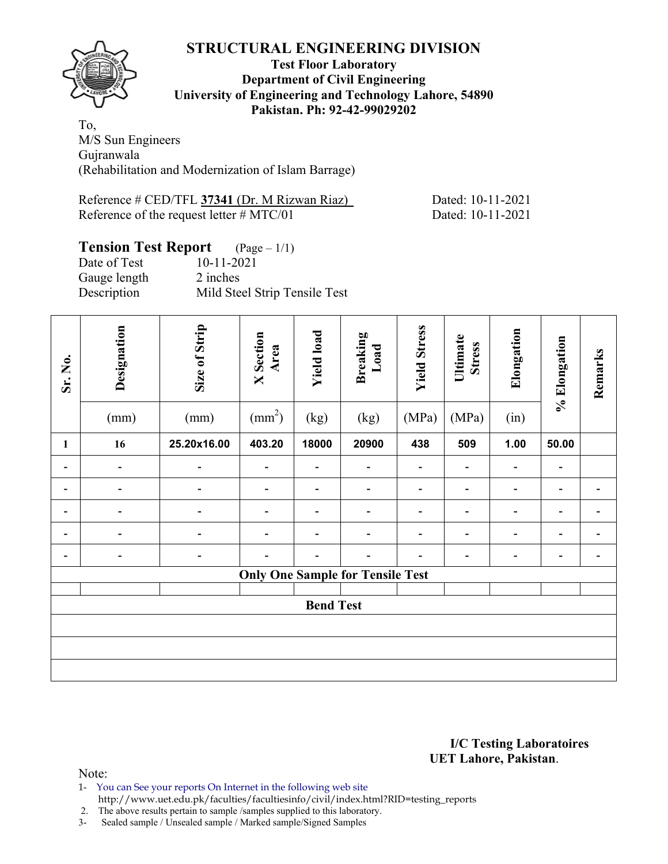

### **Test Floor Laboratory Department of Civil Engineering University of Engineering and Technology Lahore, 54890 Pakistan. Ph: 92-42-99029202**

To, M/S Sun Engineers Gujranwala (Rehabilitation and Modernization of Islam Barrage)

| Reference $\#$ CED/TFL 37341 (Dr. M Rizwan Riaz) | Dated: 10-11-2021 |
|--------------------------------------------------|-------------------|
| Reference of the request letter $\#$ MTC/01      | Dated: 10-11-2021 |

# **Tension Test Report** (Page – 1/1)

| Date of Test | 10-11-2021                    |
|--------------|-------------------------------|
| Gauge length | 2 inches                      |
| Description  | Mild Steel Strip Tensile Test |

| Sr. No. | Designation<br>(mm)      | Size of Strip<br>(mm) | <b>X</b> Section<br>Area<br>$\text{(mm}^2)$ | <b>Yield load</b><br>(kg) | <b>Breaking</b><br>Load<br>(kg)         | <b>Yield Stress</b><br>(MPa) | Ultimate<br><b>Stress</b><br>(MPa) | Elongation<br>(in)       | % Elongation   | Remarks |
|---------|--------------------------|-----------------------|---------------------------------------------|---------------------------|-----------------------------------------|------------------------------|------------------------------------|--------------------------|----------------|---------|
| 1       | 16                       | 25.20x16.00           | 403.20                                      | 18000                     | 20900                                   | 438                          | 509                                | 1.00                     | 50.00          |         |
|         | $\overline{\phantom{0}}$ |                       |                                             |                           |                                         |                              | $\overline{\phantom{0}}$           | $\overline{\phantom{a}}$ |                |         |
|         |                          |                       |                                             |                           | $\overline{a}$                          |                              | $\overline{\phantom{0}}$           | -                        | -              |         |
|         |                          |                       |                                             |                           |                                         |                              |                                    | -                        |                |         |
| ۰       |                          |                       |                                             | ۰                         | $\overline{\phantom{0}}$                |                              | $\overline{\phantom{0}}$           | $\blacksquare$           | $\overline{a}$ |         |
|         | $\overline{a}$           |                       |                                             |                           |                                         |                              |                                    | $\overline{a}$           | -              |         |
|         |                          |                       |                                             |                           | <b>Only One Sample for Tensile Test</b> |                              |                                    |                          |                |         |
|         | <b>Bend Test</b>         |                       |                                             |                           |                                         |                              |                                    |                          |                |         |
|         |                          |                       |                                             |                           |                                         |                              |                                    |                          |                |         |
|         |                          |                       |                                             |                           |                                         |                              |                                    |                          |                |         |
|         |                          |                       |                                             |                           |                                         |                              |                                    |                          |                |         |

#### **I/C Testing Laboratoires UET Lahore, Pakistan**.

Note:

1- You can See your reports On Internet in the following web site http://www.uet.edu.pk/faculties/facultiesinfo/civil/index.html?RID=testing\_reports

2. The above results pertain to sample /samples supplied to this laboratory.